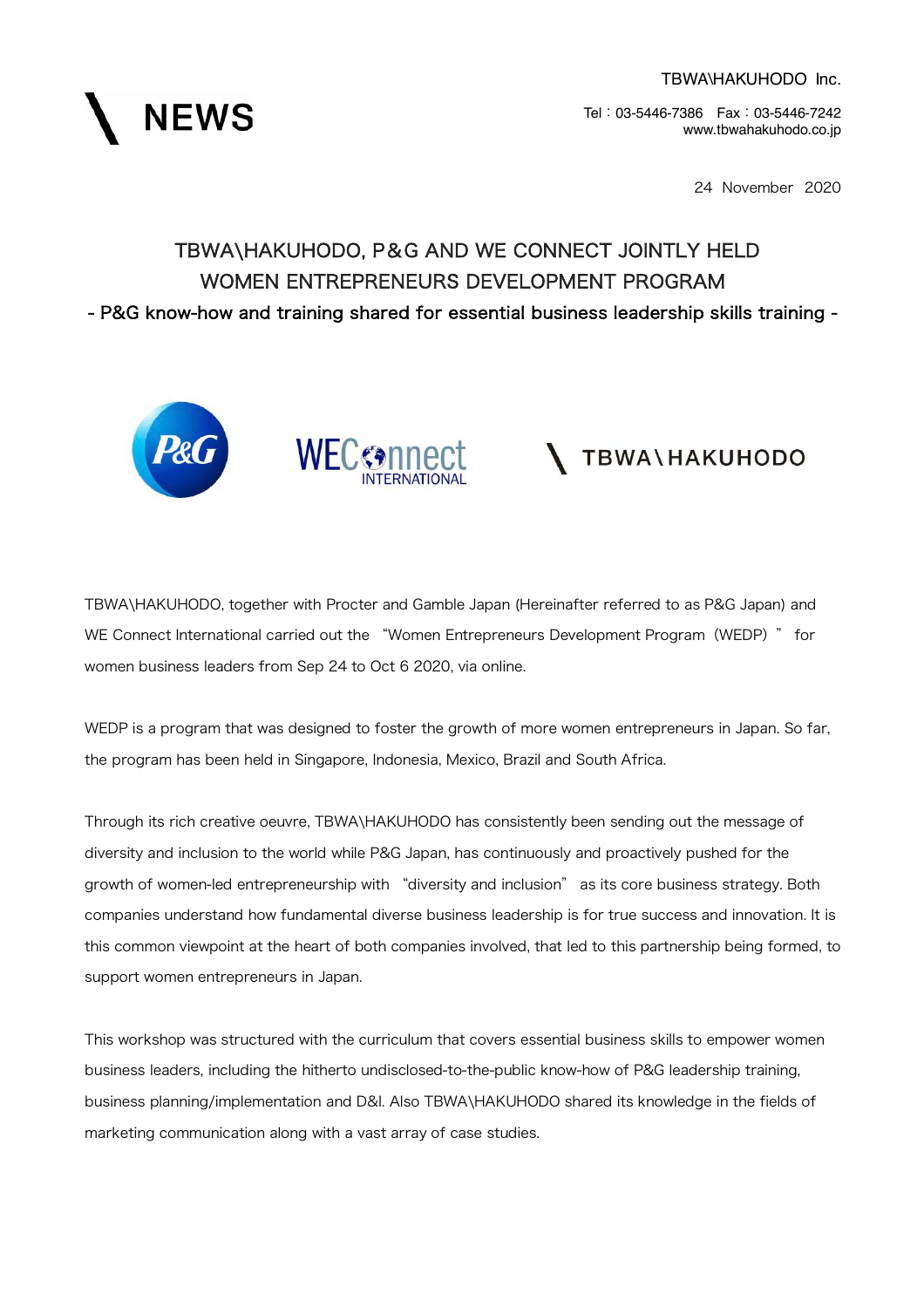

24 November 2020

## TBWA\HAKUHODO, P&G AND WE CONNECT JOINTLY HELD WOMEN ENTREPRENEURS DEVELOPMENT PROGRAM - P&G know-how and training shared for essential business leadership skills training -





# **TBWA\HAKUHODO**

TBWA\HAKUHODO, together with Procter and Gamble Japan (Hereinafter referred to as P&G Japan) and WE Connect International carried out the "Women Entrepreneurs Development Program (WEDP) " for women business leaders from Sep 24 to Oct 6 2020, via online.

WEDP is a program that was designed to foster the growth of more women entrepreneurs in Japan. So far, the program has been held in Singapore, Indonesia, Mexico, Brazil and South Africa.

Through its rich creative oeuvre, TBWA\HAKUHODO has consistently been sending out the message of diversity and inclusion to the world while P&G Japan, has continuously and proactively pushed for the growth of women-led entrepreneurship with "diversity and inclusion" as its core business strategy. Both companies understand how fundamental diverse business leadership is for true success and innovation. It is this common viewpoint at the heart of both companies involved, that led to this partnership being formed, to support women entrepreneurs in Japan.

This workshop was structured with the curriculum that covers essential business skills to empower women business leaders, including the hitherto undisclosed-to-the-public know-how of P&G leadership training, business planning/implementation and D&I. Also TBWA\HAKUHODO shared its knowledge in the fields of marketing communication along with a vast array of case studies.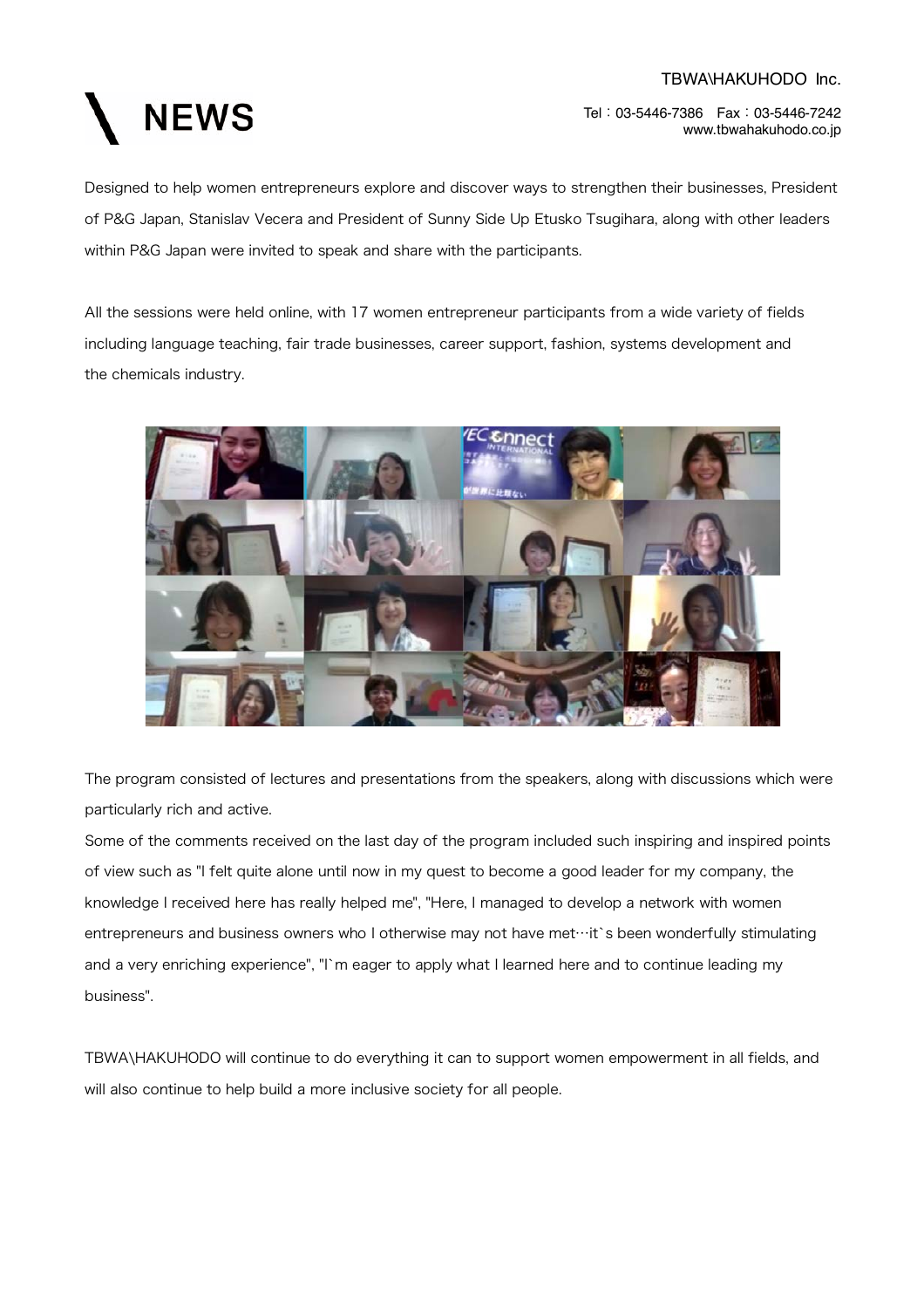

Designed to help women entrepreneurs explore and discover ways to strengthen their businesses, President of P&G Japan, Stanislav Vecera and President of Sunny Side Up Etusko Tsugihara, along with other leaders within P&G Japan were invited to speak and share with the participants.

All the sessions were held online, with 17 women entrepreneur participants from a wide variety of fields including language teaching, fair trade businesses, career support, fashion, systems development and the chemicals industry.



The program consisted of lectures and presentations from the speakers, along with discussions which were particularly rich and active.

Some of the comments received on the last day of the program included such inspiring and inspired points of view such as "I felt quite alone until now in my quest to become a good leader for my company, the knowledge I received here has really helped me", "Here, I managed to develop a network with women entrepreneurs and business owners who I otherwise may not have met⋯it`s been wonderfully stimulating and a very enriching experience", "I`m eager to apply what I learned here and to continue leading my business".

TBWA\HAKUHODO will continue to do everything it can to support women empowerment in all fields, and will also continue to help build a more inclusive society for all people.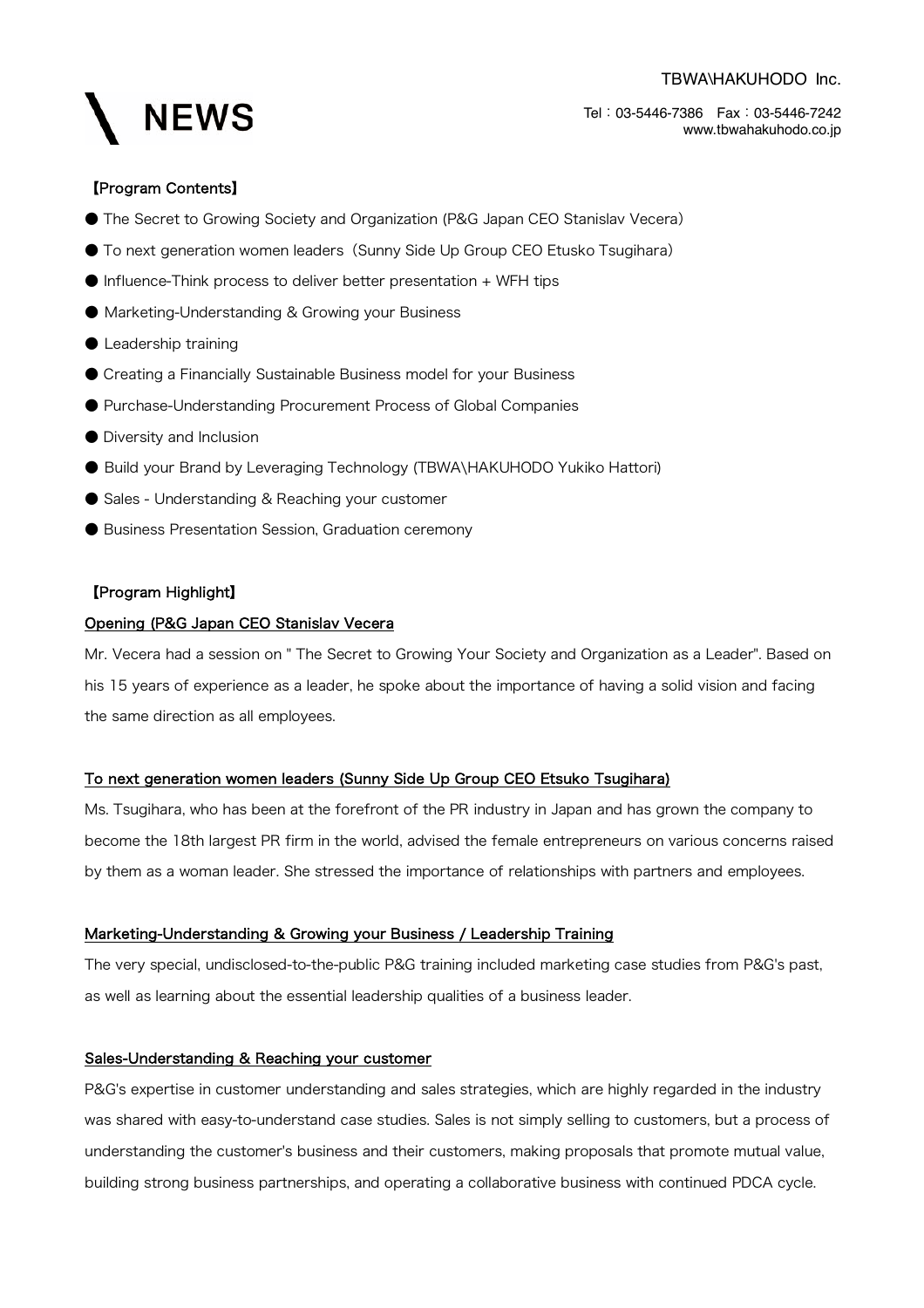#### TBWA\HAKUHODO Inc.



Tel:03-5446-7386 Fax:03-5446-7242 www.tbwahakuhodo.co.jp

#### 【Program Contents】

- The Secret to Growing Society and Organization (P&G Japan CEO Stanislav Vecera)
- To next generation women leaders (Sunny Side Up Group CEO Etusko Tsugihara)
- Influence-Think process to deliver better presentation + WFH tips
- Marketing-Understanding & Growing your Business
- Leadership training
- Creating a Financially Sustainable Business model for your Business
- Purchase-Understanding Procurement Process of Global Companies
- Diversity and Inclusion
- Build your Brand by Leveraging Technology (TBWA\HAKUHODO Yukiko Hattori)
- Sales Understanding & Reaching your customer
- Business Presentation Session, Graduation ceremony

#### 【Program Highlight】

#### Opening (P&G Japan CEO Stanislav Vecera

Mr. Vecera had a session on " The Secret to Growing Your Society and Organization as a Leader". Based on his 15 years of experience as a leader, he spoke about the importance of having a solid vision and facing the same direction as all employees.

#### To next generation women leaders (Sunny Side Up Group CEO Etsuko Tsugihara)

Ms. Tsugihara, who has been at the forefront of the PR industry in Japan and has grown the company to become the 18th largest PR firm in the world, advised the female entrepreneurs on various concerns raised by them as a woman leader. She stressed the importance of relationships with partners and employees.

#### Marketing-Understanding & Growing your Business / Leadership Training

The very special, undisclosed-to-the-public P&G training included marketing case studies from P&G's past, as well as learning about the essential leadership qualities of a business leader.

#### Sales-Understanding & Reaching your customer

P&G's expertise in customer understanding and sales strategies, which are highly regarded in the industry was shared with easy-to-understand case studies. Sales is not simply selling to customers, but a process of understanding the customer's business and their customers, making proposals that promote mutual value, building strong business partnerships, and operating a collaborative business with continued PDCA cycle.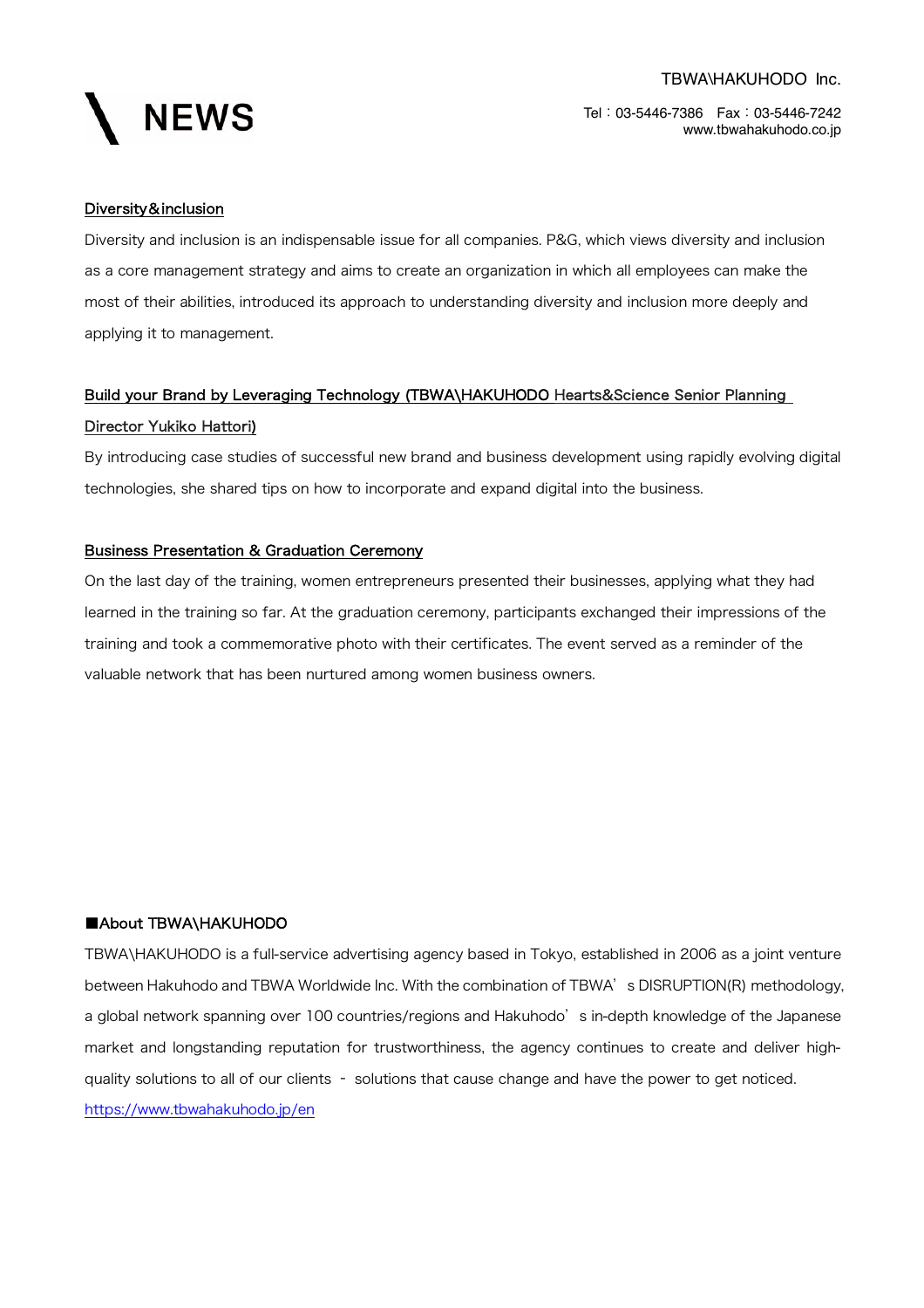

#### Diversity&inclusion

Diversity and inclusion is an indispensable issue for all companies. P&G, which views diversity and inclusion as a core management strategy and aims to create an organization in which all employees can make the most of their abilities, introduced its approach to understanding diversity and inclusion more deeply and applying it to management.

### Build your Brand by Leveraging Technology (TBWA\HAKUHODO Hearts&Science Senior Planning Director Yukiko Hattori)

By introducing case studies of successful new brand and business development using rapidly evolving digital technologies, she shared tips on how to incorporate and expand digital into the business.

#### Business Presentation & Graduation Ceremony

On the last day of the training, women entrepreneurs presented their businesses, applying what they had learned in the training so far. At the graduation ceremony, participants exchanged their impressions of the training and took a commemorative photo with their certificates. The event served as a reminder of the valuable network that has been nurtured among women business owners.

#### ■About TBWA\HAKUHODO

TBWA\HAKUHODO is a full-service advertising agency based in Tokyo, established in 2006 as a joint venture between Hakuhodo and TBWA Worldwide Inc. With the combination of TBWA's DISRUPTION(R) methodology, a global network spanning over 100 countries/regions and Hakuhodo's in-depth knowledge of the Japanese market and longstanding reputation for trustworthiness, the agency continues to create and deliver highquality solutions to all of our clients – solutions that cause change and have the power to get noticed. https://www.tbwahakuhodo.jp/en